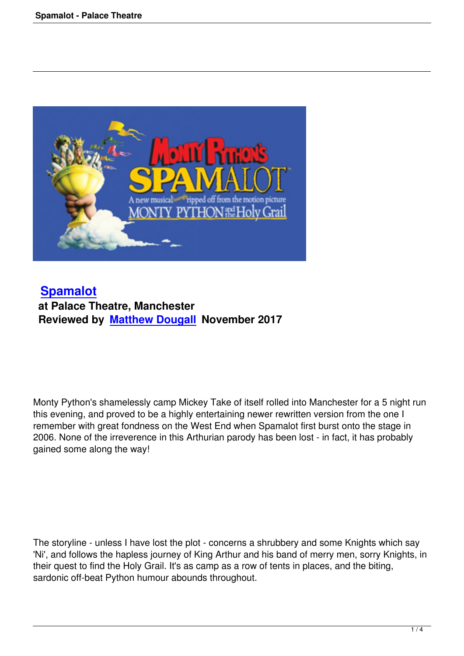

## **Spamalot at Palace Theatre, Manchester [Reviewed b](spamalot-palace-theatre.html)y Matthew Dougall November 2017**

Monty Python's shamelessly camp Mickey Take of itself rolled into Manchester for a 5 night run this evening, and proved to be a highly entertaining newer rewritten version from the one I remember with great fondness on the West End when Spamalot first burst onto the stage in 2006. None of the irreverence in this Arthurian parody has been lost - in fact, it has probably gained some along the way!

The storyline - unless I have lost the plot - concerns a shrubbery and some Knights which say 'Ni', and follows the hapless journey of King Arthur and his band of merry men, sorry Knights, in their quest to find the Holy Grail. It's as camp as a row of tents in places, and the biting, sardonic off-beat Python humour abounds throughout.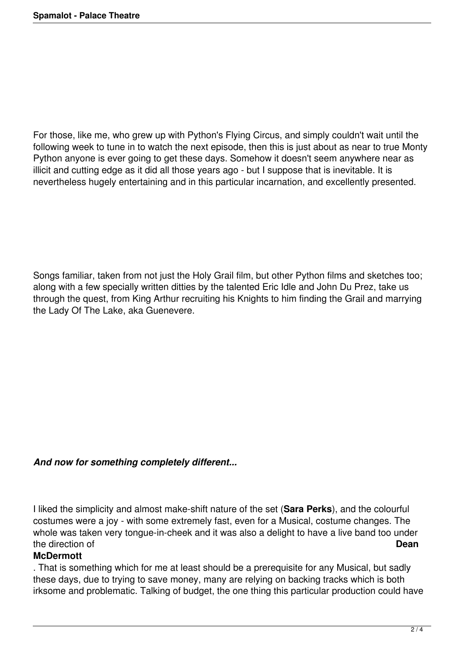For those, like me, who grew up with Python's Flying Circus, and simply couldn't wait until the following week to tune in to watch the next episode, then this is just about as near to true Monty Python anyone is ever going to get these days. Somehow it doesn't seem anywhere near as illicit and cutting edge as it did all those years ago - but I suppose that is inevitable. It is nevertheless hugely entertaining and in this particular incarnation, and excellently presented.

Songs familiar, taken from not just the Holy Grail film, but other Python films and sketches too; along with a few specially written ditties by the talented Eric Idle and John Du Prez, take us through the quest, from King Arthur recruiting his Knights to him finding the Grail and marrying the Lady Of The Lake, aka Guenevere.

## *And now for something completely different...*

I liked the simplicity and almost make-shift nature of the set (**Sara Perks**), and the colourful costumes were a joy - with some extremely fast, even for a Musical, costume changes. The whole was taken very tongue-in-cheek and it was also a delight to have a live band too under the direction of **Dean**

## **McDermott**

. That is something which for me at least should be a prerequisite for any Musical, but sadly these days, due to trying to save money, many are relying on backing tracks which is both irksome and problematic. Talking of budget, the one thing this particular production could have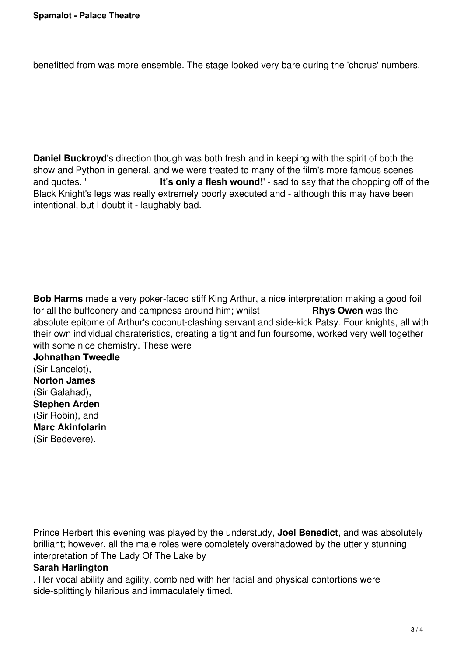benefitted from was more ensemble. The stage looked very bare during the 'chorus' numbers.

**Daniel Buckroyd**'s direction though was both fresh and in keeping with the spirit of both the show and Python in general, and we were treated to many of the film's more famous scenes<br>and quotes. '<br>**It's only a flesh wound!**' - sad to say that the chopping off of It's only a flesh wound!' - sad to say that the chopping off of the Black Knight's legs was really extremely poorly executed and - although this may have been intentional, but I doubt it - laughably bad.

**Bob Harms** made a very poker-faced stiff King Arthur, a nice interpretation making a good foil for all the buffoonery and campness around him; whilst **Rhys Owen** was the absolute epitome of Arthur's coconut-clashing servant and side-kick Patsy. Four knights, all with their own individual charateristics, creating a tight and fun foursome, worked very well together with some nice chemistry. These were

**Johnathan Tweedle** (Sir Lancelot), **Norton James** (Sir Galahad), **Stephen Arden** (Sir Robin), and **Marc Akinfolarin** (Sir Bedevere).

Prince Herbert this evening was played by the understudy, **Joel Benedict**, and was absolutely brilliant; however, all the male roles were completely overshadowed by the utterly stunning interpretation of The Lady Of The Lake by

## **Sarah Harlington**

. Her vocal ability and agility, combined with her facial and physical contortions were side-splittingly hilarious and immaculately timed.